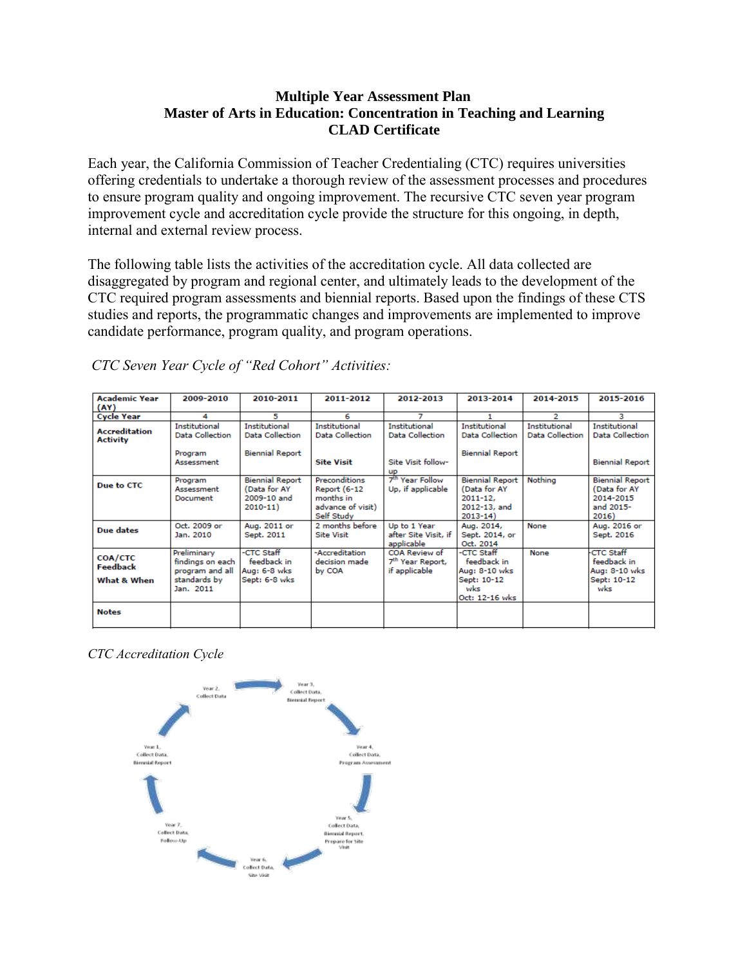### **Multiple Year Assessment Plan Master of Arts in Education: Concentration in Teaching and Learning CLAD Certificate**

Each year, the California Commission of Teacher Credentialing (CTC) requires universities offering credentials to undertake a thorough review of the assessment processes and procedures to ensure program quality and ongoing improvement. The recursive CTC seven year program improvement cycle and accreditation cycle provide the structure for this ongoing, in depth, internal and external review process.

The following table lists the activities of the accreditation cycle. All data collected are disaggregated by program and regional center, and ultimately leads to the development of the CTC required program assessments and biennial reports. Based upon the findings of these CTS studies and reports, the programmatic changes and improvements are implemented to improve candidate performance, program quality, and program operations.

| <b>Academic Year</b><br>(AY)              | 2009-2010                                                                       | 2010-2011                                                             | 2011-2012                                                                                   | 2012-2013                                                      | 2013-2014                                                                             | 2014-2015                               | 2015-2016                                                                 |
|-------------------------------------------|---------------------------------------------------------------------------------|-----------------------------------------------------------------------|---------------------------------------------------------------------------------------------|----------------------------------------------------------------|---------------------------------------------------------------------------------------|-----------------------------------------|---------------------------------------------------------------------------|
| <b>Cycle Year</b>                         | 4                                                                               | 5                                                                     | 6                                                                                           |                                                                |                                                                                       | 2                                       | з                                                                         |
| <b>Accreditation</b><br><b>Activity</b>   | Institutional<br><b>Data Collection</b>                                         | Institutional<br><b>Data Collection</b>                               | Institutional<br><b>Data Collection</b>                                                     | Institutional<br>Data Collection                               | Institutional<br><b>Data Collection</b>                                               | Institutional<br><b>Data Collection</b> | Institutional<br><b>Data Collection</b>                                   |
|                                           | Program<br>Assessment                                                           | <b>Biennial Report</b>                                                | <b>Site Visit</b>                                                                           | Site Visit follow-<br><b>UD</b>                                | <b>Biennial Report</b>                                                                |                                         | <b>Biennial Report</b>                                                    |
| Due to CTC                                | Program<br>Assessment<br>Document                                               | <b>Biennial Report</b><br>(Data for AY<br>2009-10 and<br>$2010 - 11)$ | <b>Preconditions</b><br><b>Report (6-12</b><br>months in<br>advance of visit)<br>Self Study | 7 <sup>th</sup> Year Follow<br>Up, if applicable               | <b>Biennial Report</b><br>(Data for AY<br>$2011 - 12.$<br>2012-13, and<br>$2013 - 14$ | Nothina                                 | <b>Biennial Report</b><br>(Data for AY<br>2014-2015<br>and 2015-<br>2016) |
| Due dates                                 | Oct. 2009 or<br>Jan. 2010                                                       | Aug. 2011 or<br>Sept. 2011                                            | 2 months before<br><b>Site Visit</b>                                                        | Up to 1 Year<br>after Site Visit, if<br>applicable             | Aug. 2014,<br>Sept. 2014, or<br>Oct. 2014                                             | None                                    | Aug. 2016 or<br>Sept. 2016                                                |
| <b>COA/CTC</b><br>Feedback<br>What & When | Preliminary<br>findings on each<br>program and all<br>standards by<br>Jan. 2011 | -CTC Staff<br>feedback in<br>Aug: 6-8 wks<br>Sept: 6-8 wks            | -Accreditation<br>decision made<br>by COA                                                   | COA Review of<br>7 <sup>th</sup> Year Report,<br>if applicable | -CTC Staff<br>feedback in<br>Aug: 8-10 wks<br>Sept: 10-12<br>wks<br>Oct: 12-16 wks    | None                                    | <b>CTC Staff</b><br>feedback in<br>Aug: 8-10 wks<br>Sept: 10-12<br>wks    |
| <b>Notes</b>                              |                                                                                 |                                                                       |                                                                                             |                                                                |                                                                                       |                                         |                                                                           |

*CTC Seven Year Cycle of "Red Cohort" Activities:*

*CTC Accreditation Cycle*

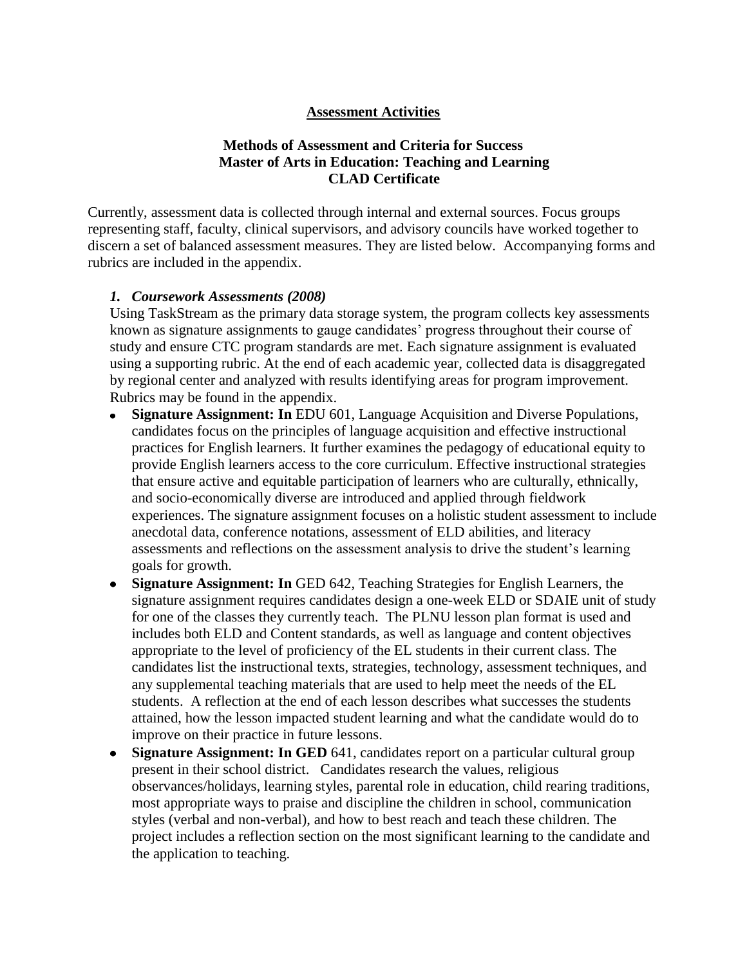#### **Assessment Activities**

## **Methods of Assessment and Criteria for Success Master of Arts in Education: Teaching and Learning CLAD Certificate**

Currently, assessment data is collected through internal and external sources. Focus groups representing staff, faculty, clinical supervisors, and advisory councils have worked together to discern a set of balanced assessment measures. They are listed below. Accompanying forms and rubrics are included in the appendix.

#### *1. Coursework Assessments (2008)*

Using TaskStream as the primary data storage system, the program collects key assessments known as signature assignments to gauge candidates' progress throughout their course of study and ensure CTC program standards are met. Each signature assignment is evaluated using a supporting rubric. At the end of each academic year, collected data is disaggregated by regional center and analyzed with results identifying areas for program improvement. Rubrics may be found in the appendix.

- **Signature Assignment: In** EDU 601, Language Acquisition and Diverse Populations,  $\bullet$ candidates focus on the principles of language acquisition and effective instructional practices for English learners. It further examines the pedagogy of educational equity to provide English learners access to the core curriculum. Effective instructional strategies that ensure active and equitable participation of learners who are culturally, ethnically, and socio-economically diverse are introduced and applied through fieldwork experiences. The signature assignment focuses on a holistic student assessment to include anecdotal data, conference notations, assessment of ELD abilities, and literacy assessments and reflections on the assessment analysis to drive the student's learning goals for growth.
- **Signature Assignment: In** GED 642, Teaching Strategies for English Learners, the signature assignment requires candidates design a one-week ELD or SDAIE unit of study for one of the classes they currently teach. The PLNU lesson plan format is used and includes both ELD and Content standards, as well as language and content objectives appropriate to the level of proficiency of the EL students in their current class. The candidates list the instructional texts, strategies, technology, assessment techniques, and any supplemental teaching materials that are used to help meet the needs of the EL students. A reflection at the end of each lesson describes what successes the students attained, how the lesson impacted student learning and what the candidate would do to improve on their practice in future lessons.
- **Signature Assignment: In GED** 641, candidates report on a particular cultural group  $\bullet$ present in their school district. Candidates research the values, religious observances/holidays, learning styles, parental role in education, child rearing traditions, most appropriate ways to praise and discipline the children in school, communication styles (verbal and non-verbal), and how to best reach and teach these children. The project includes a reflection section on the most significant learning to the candidate and the application to teaching.